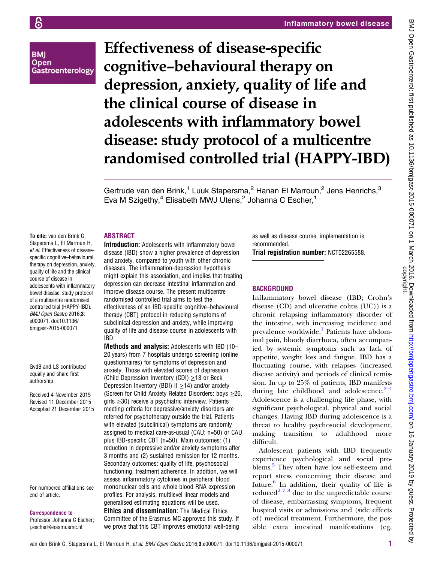# **BMI** Open Gastroenterology

Effectiveness of disease-specific cognitive–behavioural therapy on depression, anxiety, quality of life and the clinical course of disease in adolescents with inflammatory bowel disease: study protocol of a multicentre randomised controlled trial (HAPPY-IBD)

Gertrude van den Brink,<sup>1</sup> Luuk Stapersma,<sup>2</sup> Hanan El Marroun,<sup>2</sup> Jens Henrichs,<sup>3</sup> Eva M Szigethy,<sup>4</sup> Elisabeth MWJ Utens,<sup>2</sup> Johanna C Escher,<sup>1</sup>

## ABSTRACT

To cite: van den Brink G, Stapersma L, El Marroun H, et al. Effectiveness of diseasespecific cognitive–behavioural therapy on depression, anxiety, quality of life and the clinical course of disease in adolescents with inflammatory bowel disease: study protocol of a multicentre randomised controlled trial (HAPPY-IBD). BMJ Open Gastro 2016;3: e000071. doi:10.1136/ bmjgast-2015-000071

GvdB and LS contributed equally and share first authorship.

Received 4 November 2015 Revised 11 December 2015 Accepted 21 December 2015

For numbered affiliations see end of article.

Correspondence to

Professor Johanna C Escher; j.escher@erasmusmc.nl

Introduction: Adolescents with inflammatory bowel disease (IBD) show a higher prevalence of depression and anxiety, compared to youth with other chronic diseases. The inflammation-depression hypothesis might explain this association, and implies that treating depression can decrease intestinal inflammation and improve disease course. The present multicentre randomised controlled trial aims to test the effectiveness of an IBD-specific cognitive–behavioural therapy (CBT) protocol in reducing symptoms of subclinical depression and anxiety, while improving quality of life and disease course in adolescents with IBD.

Methods and analysis: Adolescents with IBD (10– 20 years) from 7 hospitals undergo screening (online questionnaires) for symptoms of depression and anxiety. Those with elevated scores of depression (Child Depression Inventory (CDI) ≥13 or Beck Depression Inventory (BDI) II  $\geq$ 14) and/or anxiety (Screen for Child Anxiety Related Disorders: boys ≥26, girls  $\geq$ 30) receive a psychiatric interview. Patients meeting criteria for depressive/anxiety disorders are referred for psychotherapy outside the trial. Patients with elevated (subclinical) symptoms are randomly assigned to medical care-as-usual (CAU; n=50) or CAU plus IBD-specific CBT (n=50). Main outcomes: (1) reduction in depressive and/or anxiety symptoms after 3 months and (2) sustained remission for 12 months. Secondary outcomes: quality of life, psychosocial functioning, treatment adherence. In addition, we will assess inflammatory cytokines in peripheral blood mononuclear cells and whole blood RNA expression profiles. For analysis, multilevel linear models and generalised estimating equations will be used. Ethics and dissemination: The Medical Ethics Committee of the Erasmus MC approved this study. If we prove that this CBT improves emotional well-being

as well as disease course, implementation is recommended.

Trial registration number: NCT02265588.

## **BACKGROUND**

Inflammatory bowel disease (IBD; Crohn's disease (CD) and ulcerative colitis (UC)) is a chronic relapsing inflammatory disorder of the intestine, with increasing incidence and prevalence worldwide.<sup>[1](#page-7-0)</sup> Patients have abdominal pain, bloody diarrhoea, often accompanied by systemic symptoms such as lack of appetite, weight loss and fatigue. IBD has a fluctuating course, with relapses (increased disease activity) and periods of clinical remission. In up to 25% of patients, IBD manif[ests](#page-8-0) during late childhood and adolescence. $2-4$ Adolescence is a challenging life phase, with significant psychological, physical and social changes. Having IBD during adolescence is a threat to healthy psychosocial development, making transition to adulthood more difficult.

Adolescent patients with IBD frequently experience psychological and social pro-blems.<sup>[5](#page-8-0)</sup> They often have low self-esteem and report stress concerning their disease and future. $6$  In addition, their quality of life is reduced<sup>[278](#page-8-0)</sup> due to the unpredictable course of disease, embarrassing symptoms, frequent hospital visits or admissions and (side effects of) medical treatment. Furthermore, the possible extra intestinal manifestations (eg,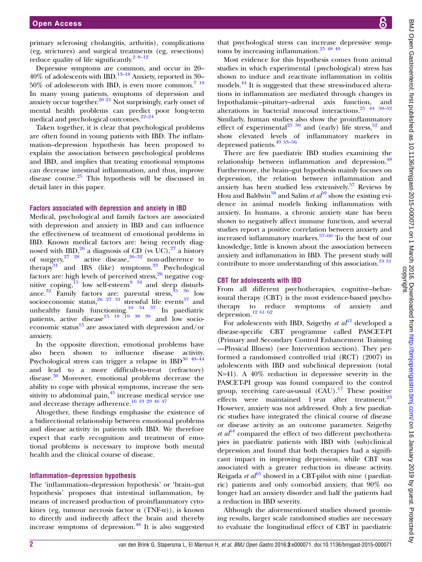primary sclerosing cholangitis, arthritis), complications (eg, strictures) and surgical treatments (eg, resections) reduce quality of life significantly.<sup>2</sup> <sup>8-[12](#page-8-0)</sup>

Depressive symptoms are common, and occur in 20–  $40\%$  of adolescents with IBD.<sup>13–18</sup> Anxiety, reported in 30–  $50\%$  of adolescents with IBD, is even more common.<sup>7 19</sup> In many young patients, symptoms of depression and anxiety occur together. $20$   $21$  Not surprisingly, early onset of mental health problems can predict poor long-term medical and psychological outcomes[.22](#page-8-0)–<sup>24</sup>

Taken together, it is clear that psychological problems are often found in young patients with IBD. The inflammation–depression hypothesis has been proposed to explain the association between psychological problems and IBD, and implies that treating emotional symptoms can decrease intestinal inflammation, and thus, improve disease course. $25$  This hypothesis will be discussed in detail later in this paper.

#### Factors associated with depression and anxiety in IBD

Medical, psychological and family factors are associated with depression and anxiety in IBD and can influence the effectiveness of treatment of emotional problems in IBD. Known medical factors are: being recently diagnosed with IBD,  $^{26}$  $^{26}$  $^{26}$  a diagnosis of CD (vs UC),  $^{27}$  $^{27}$  $^{27}$  a history of surgery,  $27^{28}$  active disease,  $26-32$  $26-32$  non-adherence to therapy<sup>[31](#page-8-0)</sup> and IBS (like) symptoms.<sup>[33](#page-8-0)</sup> Psychological factors are: high levels of perceived stress,  $26$  negative cognitive coping, $\frac{15}{15}$  low self-esteem<sup>8 34</sup> and sleep disturb-ance.<sup>[32](#page-8-0)</sup> Family factors are: parental stress, $3536$  low socioeconomic status, $26 \frac{27}{31}$  stressful life events<sup>[37](#page-8-0)</sup> and unhealthy family functioning.<sup>[10 34 37](#page-8-0)</sup> In paediatric patients, active disease<sup>15</sup> <sup>18</sup> <sup>19</sup> <sup>38</sup> <sup>39</sup> and low socioeconomic status $^{15}$  $^{15}$  $^{15}$  are associated with depression and/or anxiety.

In the opposite direction, emotional problems have also been shown to influence disease activity. Psychological stress can trigger a relapse in  $IBD<sup>30-40-44</sup>$ and lead to a more difficult-to-treat (refractory) disease.<sup>[30](#page-8-0)</sup> Moreover, emotional problems decrease the ability to cope with physical symptoms, increase the sensitivity to abdominal pain, $45$  increase medical service use and decrease therapy adherence.<sup>16 19 29 46 47</sup>

Altogether, these findings emphasise the existence of a bidirectional relationship between emotional problems and disease activity in patients with IBD. We therefore expect that early recognition and treatment of emotional problems is necessary to improve both mental health and the clinical course of disease.

#### Inflammation–depression hypothesis

The 'inflammation–depression hypothesis' or 'brain–gut hypothesis' proposes that intestinal inflammation, by means of increased production of proinflammatory cytokines (eg, tumour necrosis factor α (TNF-α)), is known to directly and indirectly affect the brain and thereby increase symptoms of depression. $48$  It is also suggested that psychological stress can increase depressive symptoms by increasing inflammation.<sup>25</sup> <sup>48</sup> <sup>49</sup>

Most evidence for this hypothesis comes from animal studies in which experimental (psychological) stress has shown to induce and reactivate inflammation in colitis models[.44](#page-8-0) It is suggested that these stress-induced alterations in inflammation are mediated through changes in hypothalamic–pituitary–adrenal axis function, and alterations in bacterial mucosal interactions.[25 44 50](#page-8-0)–<sup>52</sup> Similarly, human studies also show the proinflammatory effect of experimental<sup>25</sup> <sup>50</sup> and (early) life stress,<sup>52</sup> and show elevated levels of inflammatory markers in depressed patients.<sup>[49](#page-8-0)</sup> <sup>53-[56](#page-9-0)</sup>

There are few paediatric IBD studies examining the relationship between inflammation and depression.<sup>[48](#page-8-0)</sup> Furthermore, the brain–gut hypothesis mainly focuses on depression, the relation between inflammation and anxiety has been studied less extensively. $57$  Reviews by Hou and Baldwin<sup>[58](#page-9-0)</sup> and Salim *et al*<sup>[59](#page-9-0)</sup> show the existing evidence in animal models linking inflammation with anxiety. In humans, a chronic anxiety state has been shown to negatively affect immune function, and several studies report a positive correlation between anxiety and increased inflammatory markers.[57](#page-9-0)–<sup>60</sup> To the best of our knowledge, little is known about the association between anxiety and inflammation in IBD. The present study will contribute to more understanding of this association.<sup>[19 31](#page-8-0)</sup>

#### CBT for adolescents with IBD

From all different psychotherapies, cognitive–behavioural therapy (CBT) is the most evidence-based psychotherapy to reduce symptoms of anxiety and depression.[12](#page-8-0) [61 62](#page-9-0)

For adolescents with IBD, Szigethy et  $a<sup>63</sup>$  $a<sup>63</sup>$  $a<sup>63</sup>$  developed a disease-specific CBT programme called PASCET-PI (Primary and Secondary Control Enhancement Training —Physical Illness) (see Intervention section). They performed a randomised controlled trial (RCT) (2007) in adolescents with IBD and subclinical depression (total N=41). A 40% reduction in depressive severity in the PASCET-PI group was found compared to the control group, receiving care-as-usual  $(CAU)$ .<sup>[17](#page-8-0)</sup> These positive effects were maintained  $1$  year after treatment.<sup>[23](#page-8-0)</sup> However, anxiety was not addressed. Only a few paediatric studies have integrated the clinical course of disease or disease activity as an outcome parameter. Szigethy *et a*<sup> $64$ </sup> compared the effect of two different psychotherapies in paediatric patients with IBD with (sub)clinical depression and found that both therapies had a significant impact in improving depression, while CBT was associated with a greater reduction in disease activity. Reigada *et al*<sup>[65](#page-9-0)</sup> showed in a CBT-pilot with nine (paediatric) patients and only comorbid anxiety, that 90% no longer had an anxiety disorder and half the patients had a reduction in IBD severity.

Although the aforementioned studies showed promising results, larger scale randomised studies are necessary to evaluate the longitudinal effect of CBT in paediatric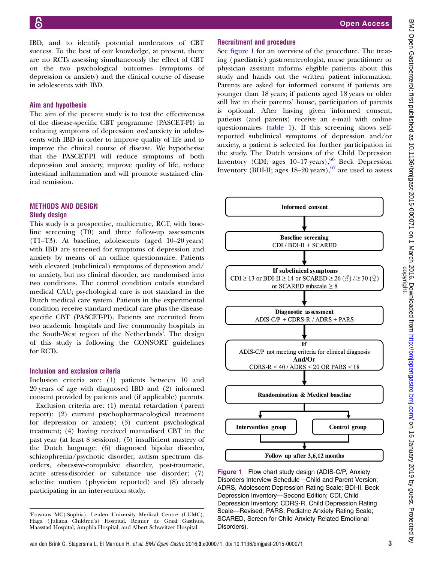IBD, and to identify potential moderators of CBT success. To the best of our knowledge, at present, there are no RCTs assessing simultaneously the effect of CBT on the two psychological outcomes (symptoms of depression or anxiety) and the clinical course of disease in adolescents with IBD.

## Aim and hypothesis

The aim of the present study is to test the effectiveness of the disease-specific CBT programme (PASCET-PI) in reducing symptoms of depression and anxiety in adolescents with IBD in order to improve quality of life and to improve the clinical course of disease. We hypothesise that the PASCET-PI will reduce symptoms of both depression and anxiety, improve quality of life, reduce intestinal inflammation and will promote sustained clinical remission.

## METHODS AND DESIGN Study design

This study is a prospective, multicentre, RCT, with baseline screening (T0) and three follow-up assessments (T1–T3). At baseline, adolescents (aged 10–20 years) with IBD are screened for symptoms of depression and anxiety by means of an online questionnaire. Patients with elevated (subclinical) symptoms of depression and/ or anxiety, but no clinical disorder, are randomised into two conditions. The control condition entails standard medical CAU; psychological care is not standard in the Dutch medical care system. Patients in the experimental condition receive standard medical care plus the diseasespecific CBT (PASCET-PI). Patients are recruited from two academic hospitals and five community hospitals in the South-West region of the Netherlands<sup>i</sup>. The design of this study is following the CONSORT guidelines for RCTs.

## Inclusion and exclusion criteria

Inclusion criteria are: (1) patients between 10 and 20 years of age with diagnosed IBD and (2) informed consent provided by patients and (if applicable) parents.

Exclusion criteria are: (1) mental retardation (parent report); (2) current psychopharmacological treatment for depression or anxiety; (3) current psychological treatment; (4) having received manualised CBT in the past year (at least 8 sessions); (5) insufficient mastery of the Dutch language; (6) diagnosed bipolar disorder, schizophrenia/psychotic disorder, autism spectrum disorders, obsessive-compulsive disorder, post-traumatic, acute stress-disorder or substance use disorder; (7) selective mutism (physician reported) and (8) already participating in an intervention study.

## Recruitment and procedure

See figure 1 for an overview of the procedure. The treating (paediatric) gastroenterologist, nurse practitioner or physician assistant informs eligible patients about this study and hands out the written patient information. Parents are asked for informed consent if patients are younger than 18 years; if patients aged 18 years or older still live in their parents' house, participation of parents is optional. After having given informed consent, patients (and parents) receive an e-mail with online questionnaires ([table 1\)](#page-3-0). If this screening shows selfreported subclinical symptoms of depression and/or anxiety, a patient is selected for further participation in the study. The Dutch versions of the Child Depression Inventory (CDI; ages  $10-17$  years),  $66$  Beck Depression Inventory (BDI-II; ages  $18-20$  years),  $67$  are used to assess



Figure 1 Flow chart study design (ADIS-C/P, Anxiety Disorders Interview Schedule—Child and Parent Version; ADRS, Adolescent Depression Rating Scale; BDI-II, Beck Depression Inventory—Second Edition; CDI, Child Depression Inventory; CDRS-R, Child Depression Rating Scale—Revised; PARS, Pediatric Anxiety Rating Scale; SCARED, Screen for Child Anxiety Related Emotional Disorders).

i Erasmus MC(-Sophia), Leiden University Medical Centre (LUMC), Haga ( Juliana Children's) Hospital, Reinier de Graaf Gasthuis, Maasstad Hospital, Amphia Hospital, and Albert Schweitzer Hospital.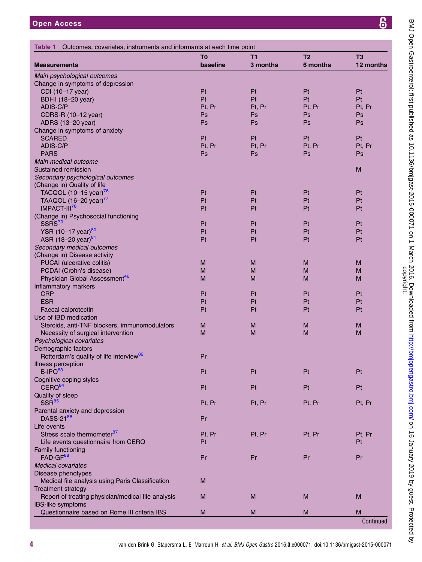<span id="page-3-0"></span>

| <b>Measurements</b>                                 | T <sub>0</sub><br>baseline | <b>T1</b><br>3 months | T <sub>2</sub><br>6 months | T <sub>3</sub><br>12 months |
|-----------------------------------------------------|----------------------------|-----------------------|----------------------------|-----------------------------|
| Main psychological outcomes                         |                            |                       |                            |                             |
| Change in symptoms of depression                    |                            |                       |                            |                             |
| CDI (10-17 year)                                    | Pt                         | Pt                    | Pt                         | Pt                          |
| <b>BDI-II</b> (18-20 year)                          | Pt                         | Pt                    | Pt                         | Pt                          |
| ADIS-C/P                                            | Pt, Pr                     | Pt, Pr                | Pt, Pr                     | Pt, Pr                      |
| CDRS-R (10-12 year)                                 | Ps                         | Ps                    | Ps                         | Ps                          |
| ADRS (13-20 year)                                   | Ps                         | Ps                    | Ps                         | Ps                          |
| Change in symptoms of anxiety                       |                            |                       |                            |                             |
| <b>SCARED</b>                                       | Pt                         | Pt                    | Pt                         | Pt                          |
| ADIS-C/P                                            | Pt, Pr                     | Pt, Pr                | Pt, Pr                     | Pt, Pr                      |
| <b>PARS</b>                                         | Ps                         | Ps                    | Ps                         | Ps                          |
| Main medical outcome                                |                            |                       |                            |                             |
| Sustained remission                                 |                            |                       |                            | M                           |
| Secondary psychological outcomes                    |                            |                       |                            |                             |
| (Change in) Quality of life                         |                            |                       |                            |                             |
| TACQOL $(10-15 \text{ year})^{76}$                  | Pt                         | Pt                    | Pt                         | Pt                          |
| TAAQOL (16-20 year) <sup>77</sup>                   | Pt                         | Pt                    | Pt                         | Pt                          |
| IMPACT-III <sup>78</sup>                            | Pt                         | Pt                    | Pt                         | Pt                          |
| (Change in) Psychosocial functioning                |                            |                       |                            |                             |
| SSRS <sup>79</sup>                                  | Pt                         | Pt                    | Pt                         | Pt                          |
| YSR (10-17 year) <sup>80</sup>                      | Pt                         | Pt                    | Pt                         | Pt                          |
| ASR (18-20 year) $^{81}$                            | Pt                         | Pt                    | Pt                         | Pt                          |
| Secondary medical outcomes                          |                            |                       |                            |                             |
| (Change in) Disease activity                        |                            |                       |                            |                             |
| PUCAI (ulcerative colitis)                          | M                          | M                     | M                          | M                           |
| PCDAI (Crohn's disease)                             | M                          | M                     | M                          | M                           |
| Physician Global Assessment <sup>46</sup>           | M                          | M                     | M                          | M                           |
| Inflammatory markers                                |                            |                       |                            |                             |
| <b>CRP</b>                                          | Pt                         | Pt                    | Pt                         | Pt                          |
| <b>ESR</b>                                          | Pt                         | Pt                    | Pt                         | Pt                          |
| Faecal calprotectin                                 | Pt                         | Pt                    | Pt                         | Pt                          |
| Use of IBD medication                               |                            |                       |                            |                             |
| Steroids, anti-TNF blockers, immunomodulators       | M                          | M                     | M                          | M                           |
| Necessity of surgical intervention                  | M                          | M                     | M                          | M                           |
| Psychological covariates                            |                            |                       |                            |                             |
| Demographic factors                                 |                            |                       |                            |                             |
| Rotterdam's quality of life interview <sup>82</sup> | Pr                         |                       |                            |                             |
| Illness perception                                  |                            |                       |                            |                             |
| B-IPQ <sup>83</sup>                                 | Pt                         | Pt                    | Pt                         | Pt                          |
| Cognitive coping styles                             |                            |                       |                            |                             |
| CERQ <sup>84</sup>                                  | Pt                         | Pt                    | Pt                         | Pt                          |
| Quality of sleep                                    |                            |                       |                            |                             |
| SSR <sup>85</sup>                                   | Pt, Pr                     | Pt, Pr                | Pt, Pr                     | Pt, Pr                      |
| Parental anxiety and depression                     |                            |                       |                            |                             |
| DASS-2186                                           | Pr                         |                       |                            |                             |
| Life events                                         |                            |                       |                            |                             |
| Stress scale thermometer <sup>87</sup>              | Pt, Pr                     | Pt, Pr                | Pt, Pr                     | Pt, Pr                      |
| Life events questionnaire from CERQ                 | Pt                         |                       |                            | Pt                          |
| <b>Family functioning</b>                           |                            |                       |                            |                             |
| FAD-GF88                                            | Pr                         | Pr                    | Pr                         | Pr                          |
| <b>Medical covariates</b>                           |                            |                       |                            |                             |
| Disease phenotypes                                  |                            |                       |                            |                             |
| Medical file analysis using Paris Classification    | M                          |                       |                            |                             |
| <b>Treatment strategy</b>                           |                            |                       |                            |                             |
| Report of treating physician/medical file analysis  | M                          | M                     | M                          | M                           |
| <b>IBS-like symptoms</b>                            |                            |                       |                            |                             |
| Questionnaire based on Rome III criteria IBS        | M                          | M                     | M                          | M                           |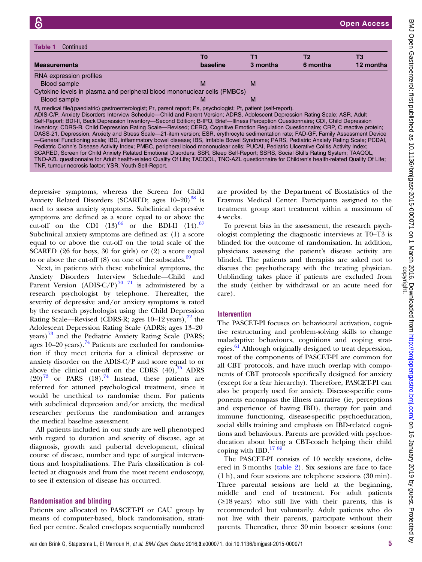| Continued<br>Table 1                                                                                                                                                                                                                                                                                                                                                                                                                                                                                                                                                                                                                                                                                                                                                                                                                                                                                                                                                                                                                                                                                                                                                                                                                                                                                        |          |          |          |                  |
|-------------------------------------------------------------------------------------------------------------------------------------------------------------------------------------------------------------------------------------------------------------------------------------------------------------------------------------------------------------------------------------------------------------------------------------------------------------------------------------------------------------------------------------------------------------------------------------------------------------------------------------------------------------------------------------------------------------------------------------------------------------------------------------------------------------------------------------------------------------------------------------------------------------------------------------------------------------------------------------------------------------------------------------------------------------------------------------------------------------------------------------------------------------------------------------------------------------------------------------------------------------------------------------------------------------|----------|----------|----------|------------------|
|                                                                                                                                                                                                                                                                                                                                                                                                                                                                                                                                                                                                                                                                                                                                                                                                                                                                                                                                                                                                                                                                                                                                                                                                                                                                                                             | T0       | Τ1       | T2       | T3               |
| <b>Measurements</b>                                                                                                                                                                                                                                                                                                                                                                                                                                                                                                                                                                                                                                                                                                                                                                                                                                                                                                                                                                                                                                                                                                                                                                                                                                                                                         | baseline | 3 months | 6 months | <b>12 months</b> |
| RNA expression profiles                                                                                                                                                                                                                                                                                                                                                                                                                                                                                                                                                                                                                                                                                                                                                                                                                                                                                                                                                                                                                                                                                                                                                                                                                                                                                     |          |          |          |                  |
| Blood sample                                                                                                                                                                                                                                                                                                                                                                                                                                                                                                                                                                                                                                                                                                                                                                                                                                                                                                                                                                                                                                                                                                                                                                                                                                                                                                | M        | м        |          |                  |
| Cytokine levels in plasma and peripheral blood mononuclear cells (PMBCs)                                                                                                                                                                                                                                                                                                                                                                                                                                                                                                                                                                                                                                                                                                                                                                                                                                                                                                                                                                                                                                                                                                                                                                                                                                    |          |          |          |                  |
| Blood sample                                                                                                                                                                                                                                                                                                                                                                                                                                                                                                                                                                                                                                                                                                                                                                                                                                                                                                                                                                                                                                                                                                                                                                                                                                                                                                | M        | M        |          |                  |
| M, medical file/(paediatric) gastroenterologist; Pr, parent report; Ps, psychologist; Pt, patient (self-report).<br>ADIS-C/P, Anxiety Disorders Interview Schedule-Child and Parent Version; ADRS, Adolescent Depression Rating Scale; ASR, Adult<br>Self-Report; BDI-II, Beck Depression Inventory—Second Edition; B-IPQ, Brief—Illness Perception Questionnaire; CDI, Child Depression<br>Inventory; CDRS-R, Child Depression Rating Scale—Revised; CERQ, Cognitive Emotion Regulation Questionnaire; CRP, C reactive protein;<br>DASS-21, Depression, Anxiety and Stress Scale-21-item version; ESR, erythrocyte sedimentation rate; FAD-GF, Family Assessment Device<br>-General Functioning scale; IBD, inflammatory bowel disease; IBS, Irritable Bowel Syndrome; PARS, Pediatric Anxiety Rating Scale; PCDAI,<br>Pediatric Crohn's Disease Activity Index; PMBC, peripheral blood mononuclear cells; PUCAI, Pediatric Ulcerative Colitis Activity Index;<br>SCARED, Screen for Child Anxiety Related Emotional Disorders; SSR, Sleep Self-Report; SSRS, Social Skills Rating System; TAAQOL,<br>TNO-AZL questionnaire for Adult health-related Quality Of Life; TACQOL, TNO-AZL questionnaire for Children's health-related Quality Of Life;<br>TNF, tumour necrosis factor; YSR, Youth Self-Report. |          |          |          |                  |

depressive symptoms, whereas the Screen for Child Anxiety Related Disorders (SCARED; ages  $10-20$ )<sup>[68](#page-9-0)</sup> is used to assess anxiety symptoms. Subclinical depressive symptoms are defined as a score equal to or above the cut-off on the CDI  $(13)^{66}$  or the BDI-II  $(14)$ .<sup>[67](#page-9-0)</sup> Subclinical anxiety symptoms are defined as: (1) a score equal to or above the cut-off on the total scale of the SCARED (26 for boys, 30 for girls) or (2) a score equal to or above the cut-off  $(8)$  on one of the subscales.<sup>[69](#page-9-0)</sup>

Next, in patients with these subclinical symptoms, the Anxiety Disorders Interview Schedule—Child and Parent Version (ADIS-C/P)<sup>[70 71](#page-9-0)</sup> is administered by a research psychologist by telephone. Thereafter, the severity of depressive and/or anxiety symptoms is rated by the research psychologist using the Child Depression Rating Scale—Revised (CDRS-R; ages  $10-12$  years), $^{72}$  $^{72}$  $^{72}$  the Adolescent Depression Rating Scale (ADRS; ages 13–20 years)<sup>[73](#page-9-0)</sup> and the Pediatric Anxiety Rating Scale (PARS; ages  $10-20$  years).<sup>[74](#page-9-0)</sup> Patients are excluded for randomisation if they meet criteria for a clinical depressive or anxiety disorder on the ADIS-C/P and score equal to or above the clinical cut-off on the CDRS  $(40)$ ,  $75$  ADRS  $(20)^{73}$  $(20)^{73}$  $(20)^{73}$  or PARS  $(18)$ .<sup>[74](#page-9-0)</sup> Instead, these patients are referred for attuned psychological treatment, since it would be unethical to randomise them. For patients with subclinical depression and/or anxiety, the medical researcher performs the randomisation and arranges the medical baseline assessment.

All patients included in our study are well phenotyped with regard to duration and severity of disease, age at diagnosis, growth and pubertal development, clinical course of disease, number and type of surgical interventions and hospitalisations. The Paris classification is collected at diagnosis and from the most recent endoscopy, to see if extension of disease has occurred.

# Randomisation and blinding

Patients are allocated to PASCET-PI or CAU group by means of computer-based, block randomisation, stratified per centre. Sealed envelopes sequentially numbered are provided by the Department of Biostatistics of the Erasmus Medical Center. Participants assigned to the treatment group start treatment within a maximum of 4 weeks.

To prevent bias in the assessment, the research psychologist completing the diagnostic interviews at T0–T3 is blinded for the outcome of randomisation. In addition, physicians assessing the patient's disease activity are blinded. The patients and therapists are asked not to discuss the psychotherapy with the treating physician. Unblinding takes place if patients are excluded from the study (either by withdrawal or an acute need for care).

# Intervention

The PASCET-PI focuses on behavioural activation, cognitive restructuring and problem-solving skills to change maladaptive behaviours, cognitions and coping strat-egies.<sup>[61](#page-9-0)</sup> Although originally designed to treat depression, most of the components of PASCET-PI are common for all CBT protocols, and have much overlap with components of CBT protocols specifically designed for anxiety (except for a fear hierarchy). Therefore, PASCET-PI can also be properly used for anxiety. Disease-specific components encompass the illness narrative (ie, perceptions and experience of having IBD), therapy for pain and immune functioning, disease-specific psychoeducation, social skills training and emphasis on IBD-related cognitions and behaviours. Parents are provided with psychoeducation about being a CBT-coach helping their child coping with IBD.[17](#page-8-0) [89](#page-9-0)

The PASCET-PI consists of 10 weekly sessions, delivered in 3 months ([table 2\)](#page-5-0). Six sessions are face to face (1 h), and four sessions are telephone sessions (30 min). Three parental sessions are held at the beginning, middle and end of treatment. For adult patients  $(\geq 18$  years) who still live with their parents, this is recommended but voluntarily. Adult patients who do not live with their parents, participate without their parents. Thereafter, three 30 min booster sessions (one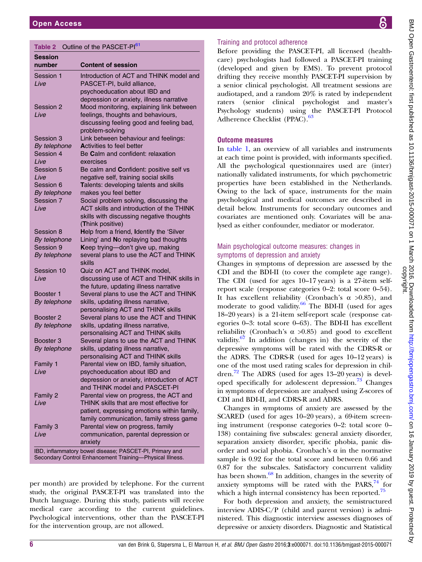<span id="page-5-0"></span>

| Table 2 Outline of the PASCET-Pl <sup>61</sup> |
|------------------------------------------------|
|                                                |

| Session           |                                                                                                                            |
|-------------------|----------------------------------------------------------------------------------------------------------------------------|
| number            | <b>Content of session</b>                                                                                                  |
| Session 1<br>Live | Introduction of ACT and THINK model and<br>PASCET-PI, build alliance,<br>psychoeducation about IBD and                     |
|                   | depression or anxiety, illness narrative                                                                                   |
| Session 2<br>Live | Mood monitoring, explaining link between<br>feelings, thoughts and behaviours,<br>discussing feeling good and feeling bad, |
|                   | problem-solving                                                                                                            |
| Session 3         | Link between behaviour and feelings:                                                                                       |
| By telephone      | <b>Activities to feel better</b>                                                                                           |
| Session 4         | Be Calm and confident: relaxation                                                                                          |
| Live              | exercises                                                                                                                  |
| Session 5         | Be calm and Confident: positive self vs                                                                                    |
| Live              | negative self, training social skills                                                                                      |
| Session 6         | Talents: developing talents and skills                                                                                     |
| By telephone      | makes you feel better                                                                                                      |
| Session 7         | Social problem solving, discussing the                                                                                     |
| I ive             | ACT skills and introduction of the THINK                                                                                   |
|                   | skills with discussing negative thoughts                                                                                   |
|                   | (Think positive)                                                                                                           |
| Session 8         | Help from a friend, Identify the 'Silver                                                                                   |
| By telephone      | Lining' and No replaying bad thoughts                                                                                      |
| Session 9         | Keep trying-don't give up, making                                                                                          |
| By telephone      | several plans to use the ACT and THINK<br>skills                                                                           |
| Session 10        | Quiz on ACT and THINK model,                                                                                               |
| Live              | discussing use of ACT and THINK skills in                                                                                  |
|                   | the future, updating illness narrative                                                                                     |
| Booster 1         | Several plans to use the ACT and THINK                                                                                     |
| By telephone      | skills, updating illness narrative,                                                                                        |
|                   | personalising ACT and THINK skills                                                                                         |
| Booster 2         | Several plans to use the ACT and THINK                                                                                     |
| By telephone      | skills, updating illness narrative,<br>personalising ACT and THINK skills                                                  |
| Booster 3         | Several plans to use the ACT and THINK                                                                                     |
| By telephone      | skills, updating illness narrative,                                                                                        |
|                   | personalising ACT and THINK skills                                                                                         |
| Family 1          | Parental view on IBD, family situation,                                                                                    |
| Live              | psychoeducation about IBD and                                                                                              |
|                   | depression or anxiety, introduction of ACT                                                                                 |
|                   | and THINK model and PASCET-PI                                                                                              |
| Family 2          | Parental view on progress, the ACT and                                                                                     |
| Live              | THINK skills that are most effective for                                                                                   |
|                   | patient, expressing emotions within family,                                                                                |
|                   | family communication, family stress game                                                                                   |
| Family 3          | Parental view on progress, family                                                                                          |
| Live              | communication, parental depression or                                                                                      |
|                   | anxiety                                                                                                                    |
|                   | IBD, inflammatory bowel disease; PASCET-PI, Primary and                                                                    |

Secondary Control Enhancement Training—Physical Illness.

per month) are provided by telephone. For the current study, the original PASCET-PI was translated into the Dutch language. During this study, patients will receive medical care according to the current guidelines. Psychological interventions, other than the PASCET-PI for the intervention group, are not allowed.

# Training and protocol adherence

Before providing the PASCET-PI, all licensed (healthcare) psychologists had followed a PASCET-PI training (developed and given by EMS). To prevent protocol drifting they receive monthly PASCET-PI supervision by a senior clinical psychologist. All treatment sessions are audiotaped, and a random 20% is rated by independent raters (senior clinical psychologist and master's Psychology students) using the PASCET-PI Protocol Adherence Checklist (PPAC).<sup>[63](#page-9-0)</sup>

# Outcome measures

In [table 1,](#page-3-0) an overview of all variables and instruments at each time point is provided, with informants specified. All the psychological questionnaires used are (inter) nationally validated instruments, for which psychometric properties have been established in the Netherlands. Owing to the lack of space, instruments for the main psychological and medical outcomes are described in detail below. Instruments for secondary outcomes and covariates are mentioned only. Covariates will be analysed as either confounder, mediator or moderator.

# Main psychological outcome measures: changes in symptoms of depression and anxiety

Changes in symptoms of depression are assessed by the CDI and the BDI-II (to cover the complete age range). The CDI (used for ages 10–17 years) is a 27-item selfreport scale (response categories 0–2: total score 0–54). It has excellent reliability (Cronbach's  $\alpha$  >0.85), and moderate to good validity.<sup>[66](#page-9-0)</sup> The BDI-II (used for ages 18–20 years) is a 21-item self-report scale (response categories 0–3: total score 0–63). The BDI-II has excellent reliability (Cronbach's  $\alpha$  >0.85) and good to excellent validity. $67$  In addition (changes in) the severity of the depressive symptoms will be rated with the CDRS-R or the ADRS. The CDRS-R (used for ages 10–12 years) is one of the most used rating scales for depression in chil-dren.<sup>[72](#page-9-0)</sup> The ADRS (used for ages  $13-20$  years) is devel-oped specifically for adolescent depression.<sup>[73](#page-9-0)</sup> Changes in symptoms of depression are analysed using Z-scores of CDI and BDI-II, and CDRS-R and ADRS.

Changes in symptoms of anxiety are assessed by the SCARED (used for ages 10–20 years), a 69-item screening instrument (response categories 0–2: total score 0– 138) containing five subscales: general anxiety disorder, separation anxiety disorder, specific phobia, panic disorder and social phobia. Cronbach's α in the normative sample is 0.92 for the total score and between 0.66 and 0.87 for the subscales. Satisfactory concurrent validity has been shown. $68$  In addition, changes in the severity of anxiety symptoms will be rated with the PARS, $^{74}$  $^{74}$  $^{74}$  for which a high internal consistency has been reported.<sup>[75](#page-9-0)</sup>

For both depression and anxiety, the semistructured interview ADIS-C/P (child and parent version) is administered. This diagnostic interview assesses diagnoses of depressive or anxiety disorders. Diagnostic and Statistical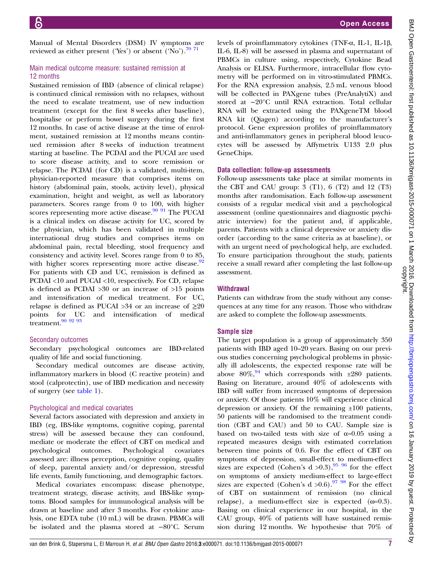Manual of Mental Disorders (DSM) IV symptoms are reviewed as either present ('Yes') or absent ('No'). $^{70}$  <sup>71</sup>

# Main medical outcome measure: sustained remission at 12 months

Sustained remission of IBD (absence of clinical relapse) is continued clinical remission with no relapses, without the need to escalate treatment, use of new induction treatment (except for the first 8 weeks after baseline), hospitalise or perform bowel surgery during the first 12 months. In case of active disease at the time of enrolment, sustained remission at 12 months means continued remission after 8 weeks of induction treatment starting at baseline. The PCDAI and the PUCAI are used to score disease activity, and to score remission or relapse. The PCDAI (for CD) is a validated, multi-item, physician-reported measure that comprises items on history (abdominal pain, stools, activity level), physical examination, height and weight, as well as laboratory parameters. Scores range from 0 to 100, with higher scores representing more active disease.<sup>90 91</sup> The PUCAI is a clinical index on disease activity for UC, scored by the physician, which has been validated in multiple international drug studies and comprises items on abdominal pain, rectal bleeding, stool frequency and consistency and activity level. Scores range from 0 to 85, with higher scores representing more active disease.  $92$ For patients with CD and UC, remission is defined as PCDAI <10 and PUCAI <10, respectively. For CD, relapse is defined as PCDAI >30 or an increase of >15 points and intensification of medical treatment. For UC, relapse is defined as PUCAI >34 or an increase of  $\geq 20$ points for UC and intensification of medical treatment.[90 92 93](#page-9-0)

## Secondary outcomes

Secondary psychological outcomes are IBD-related quality of life and social functioning.

Secondary medical outcomes are disease activity, inflammatory markers in blood (C reactive protein) and stool (calprotectin), use of IBD medication and necessity of surgery (see [table 1](#page-3-0)).

## Psychological and medical covariates

Several factors associated with depression and anxiety in IBD (eg, IBS-like symptoms, cognitive coping, parental stress) will be assessed because they can confound, mediate or moderate the effect of CBT on medical and psychological outcomes. Psychological covariates assessed are: illness perception, cognitive coping, quality of sleep, parental anxiety and/or depression, stressful life events, family functioning, and demographic factors.

Medical covariates encompass: disease phenotype, treatment strategy, disease activity, and IBS-like symptoms. Blood samples for immunological analysis will be drawn at baseline and after 3 months. For cytokine analysis, one EDTA tube (10 mL) will be drawn. PBMCs will be isolated and the plasma stored at −80°C. Serum

levels of proinflammatory cytokines (TNF-α, IL-1, IL-1β, IL-6, IL-8) will be assessed in plasma and supernatant of PBMCs in culture using, respectively, Cytokine Bead Analysis or ELISA. Furthermore, intracellular flow cytometry will be performed on in vitro-stimulated PBMCs. For the RNA expression analysis, 2.5 mL venous blood will be collected in PAXgene tubes (PreAnalytiX) and stored at −20°C until RNA extraction. Total cellular RNA will be extracted using the PAXgeneTM blood RNA kit (Qiagen) according to the manufacturer's protocol. Gene expression profiles of proinflammatory and anti-inflammatory genes in peripheral blood leucocytes will be assessed by Affymetrix U133 2.0 plus GeneChips.

## Data collection: follow-up assessments

Follow-up assessments take place at similar moments in the CBT and CAU group: 3 (T1), 6 (T2) and 12 (T3) months after randomisation. Each follow-up assessment consists of a regular medical visit and a psychological assessment (online questionnaires and diagnostic psychiatric interview) for the patient and, if applicable, parents. Patients with a clinical depressive or anxiety disorder (according to the same criteria as at baseline), or with an urgent need of psychological help, are excluded. To ensure participation throughout the study, patients receive a small reward after completing the last follow-up assessment.

## **Withdrawal**

Patients can withdraw from the study without any consequences at any time for any reason. Those who withdraw are asked to complete the follow-up assessments.

## Sample size

The target population is a group of approximately 350 patients with IBD aged 10–20 years. Basing on our previous studies concerning psychological problems in physically ill adolescents, the expected response rate will be above  $80\%$ , <sup>[94](#page-9-0)</sup> which corresponds with  $\pm 280$  patients. Basing on literature, around 40% of adolescents with IBD will suffer from increased symptoms of depression or anxiety. Of those patients 10% will experience clinical depression or anxiety. Of the remaining  $\pm 100$  patients, 50 patients will be randomised to the treatment condition (CBT and CAU) and 50 to CAU. Sample size is based on two-tailed tests with size of  $\alpha$ =0.05 using a repeated measures design with estimated correlation between time points of 0.6. For the effect of CBT on symptoms of depression, small-effect to medium-effect sizes are expected (Cohen's d  $>0.3$ ), <sup>95</sup> <sup>96</sup> for the effect on symptoms of anxiety medium-effect to large-effect sizes are expected (Cohen's d  $>0.6$ ).<sup>[97 98](#page-9-0)</sup> For the effect of CBT on sustainment of remission (no clinical relapse), a medium-effect size is expected  $(\omega=0.3)$ . Basing on clinical experience in our hospital, in the CAU group, 40% of patients will have sustained remission during 12 months. We hypothesise that 70% of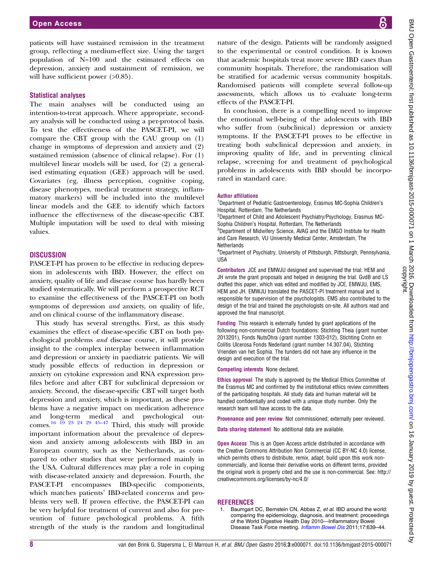<span id="page-7-0"></span>patients will have sustained remission in the treatment group, reflecting a medium-effect size. Using the target population of N=100 and the estimated effects on depression, anxiety and sustainment of remission, we will have sufficient power (>0.85).

## Statistical analyses

The main analyses will be conducted using an intention-to-treat approach. Where appropriate, secondary analysis will be conducted using a per-protocol basis. To test the effectiveness of the PASCET-PI, we will compare the CBT group with the CAU group on (1) change in symptoms of depression and anxiety and (2) sustained remission (absence of clinical relapse). For (1) multilevel linear models will be used, for (2) a generalised estimating equation (GEE) approach will be used. Covariates (eg, illness perception, cognitive coping, disease phenotypes, medical treatment strategy, inflammatory markers) will be included into the multilevel linear models and the GEE to identify which factors influence the effectiveness of the disease-specific CBT. Multiple imputation will be used to deal with missing values.

## **DISCUSSION**

PASCET-PI has proven to be effective in reducing depression in adolescents with IBD. However, the effect on anxiety, quality of life and disease course has hardly been studied systematically. We will perform a prospective RCT to examine the effectiveness of the PASCET-PI on both symptoms of depression and anxiety, on quality of life, and on clinical course of the inflammatory disease.

This study has several strengths. First, as this study examines the effect of disease-specific CBT on both psychological problems and disease course, it will provide insight to the complex interplay between inflammation and depression or anxiety in paediatric patients. We will study possible effects of reduction in depression or anxiety on cytokine expression and RNA expression profiles before and after CBT for subclinical depression or anxiety. Second, the disease-specific CBT will target both depression and anxiety, which is important, as these problems have a negative impact on medication adherence and long-term medical and psychological out-comes.<sup>16 19</sup> <sup>23</sup> <sup>24</sup> <sup>29</sup> <sup>45–[47](#page-8-0)</sup> Third, this study will provide important information about the prevalence of depression and anxiety among adolescents with IBD in an European country, such as the Netherlands, as compared to other studies that were performed mainly in the USA. Cultural differences may play a role in coping with disease-related anxiety and depression. Fourth, the PASCET-PI encompasses IBD-specific components, which matches patients' IBD-related concerns and problems very well. If proven effective, the PASCET-PI can be very helpful for treatment of current and also for prevention of future psychological problems. A fifth strength of the study is the random and longitudinal

nature of the design. Patients will be randomly assigned to the experimental or control condition. It is known that academic hospitals treat more severe IBD cases than community hospitals. Therefore, the randomisation will be stratified for academic versus community hospitals. Randomised patients will complete several follow-up assessments, which allows us to evaluate long-term effects of the PASCET-PI.

In conclusion, there is a compelling need to improve the emotional well-being of the adolescents with IBD who suffer from (subclinical) depression or anxiety symptoms. If the PASCET-PI proves to be effective in treating both subclinical depression and anxiety, in improving quality of life, and in preventing clinical relapse, screening for and treatment of psychological problems in adolescents with IBD should be incorporated in standard care.

#### Author affiliations

<sup>1</sup>Department of Pediatric Gastroenterology, Erasmus MC-Sophia Children's Hospital, Rotterdam, The Netherlands

2 Department of Child and Adolescent Psychiatry/Psychology, Erasmus MC-Sophia Children's Hospital, Rotterdam, The Netherlands

<sup>3</sup>Department of Midwifery Science, AVAG and the EMGO Institute for Health and Care Research, VU University Medical Center, Amsterdam, The **Netherlands** 

4 Department of Psychiatry, University of Pittsburgh, Pittsburgh, Pennsylvania, USA

Contributors JCE and EMWJU designed and supervised the trial. HEM and JH wrote the grant proposals and helped in designing the trial. GvdB and LS drafted this paper, which was edited and modified by JCE, EMWJU, EMS, HEM and JH. EMWJU translated the PASCET-PI treatment manual and is responsible for supervision of the psychologists. EMS also contributed to the design of the trial and trained the psychologists on-site. All authors read and approved the final manuscript.

Funding This research is externally funded by grant applications of the following non-commercial Dutch foundations: Stichting Theia (grant number 2013201), Fonds NutsOhra (grant number 1303-012), Stichting Crohn en Colitis Ulcerosa Fonds Nederland (grant number 14.307.04), Stichting Vrienden van het Sophia. The funders did not have any influence in the design and execution of the trial.

Competing interests None declared.

Ethics approval The study is approved by the Medical Ethics Committee of the Erasmus MC and confirmed by the institutional ethics review committees of the participating hospitals. All study data and human material will be handled confidentially and coded with a unique study number. Only the research team will have access to the data.

Provenance and peer review Not commissioned; externally peer reviewed.

Data sharing statement No additional data are available.

Open Access This is an Open Access article distributed in accordance with the Creative Commons Attribution Non Commercial (CC BY-NC 4.0) license, which permits others to distribute, remix, adapt, build upon this work noncommercially, and license their derivative works on different terms, provided the original work is properly cited and the use is non-commercial. See: [http://](http://creativecommons.org/licenses/by-nc/4.0/) [creativecommons.org/licenses/by-nc/4.0/](http://creativecommons.org/licenses/by-nc/4.0/)

#### **REFERENCES**

Baumgart DC, Bernstein CN, Abbas Z, et al. IBD around the world: comparing the epidemiology, diagnosis, and treatment: proceedings of the World Digestive Health Day 2010—Inflammatory Bowel Disease Task Force meeting. [Inflamm Bowel Dis](http://dx.doi.org/10.1002/ibd.21409) 2011;17:639–44.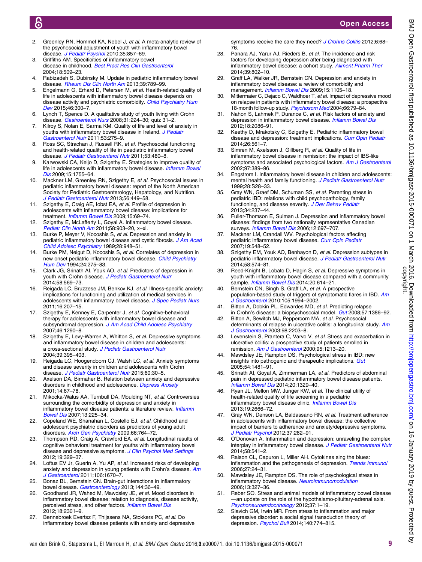BMJ Open Gastroenterol: first published as 10.1136/bmigast-2015-000071 on 1 March 2016. Downloaded from http://bmjopengastro.bmj.com/ on 16 January 2019 by guest. Protected by<br>copyright. BMJ Open Gastroenterol: first published as 10.1136/bmjgast-2016-000071 on 1 March 2016. Downloaded from Http://bmjopengastro.bmj.com/ on 16 January 2019 by guest. Protected by

- <span id="page-8-0"></span>2. Greenley RN, Hommel KA, Nebel J, et al. A meta-analytic review of the psychosocial adjustment of youth with inflammatory bowel disease. [J Pediatr Psychol](http://dx.doi.org/10.1093/jpepsy/jsp120) 2010;35:857-69.
- 3. Griffiths AM. Specificities of inflammatory bowel disease in childhood. [Best Pract Res Clin Gastroenterol](http://dx.doi.org/10.1016/j.bpg.2004.01.002) 2004;18:509–23.
- 4. Rabizadeh S, Dubinsky M. Update in pediatric inflammatory bowel disease. [Rheum Dis Clin North Am](http://dx.doi.org/10.1016/j.rdc.2013.03.010) 2013;39:789–99.
- 5. Engelmann G, Erhard D, Petersen M, et al. Health-related quality of life in adolescents with inflammatory bowel disease depends on disease activity and psychiatric comorbidity. [Child Psychiatry Hum](http://dx.doi.org/10.1007/s10578-014-0471-5) [Dev](http://dx.doi.org/10.1007/s10578-014-0471-5) 2015;46:300–7.
- 6. Lynch T, Spence D. A qualitative study of youth living with Crohn disease. [Gastroenterol Nurs](http://dx.doi.org/10.1097/01.SGA.0000324114.01651.65) 2008;31:224-30; quiz 31-2.
- 7. Kilroy S, Nolan E, Sarma KM. Quality of life and level of anxiety in youths with inflammatory bowel disease in Ireland. [J Pediatr](http://dx.doi.org/10.1097/MPG.0b013e318214c131) [Gastroenterol Nutr](http://dx.doi.org/10.1097/MPG.0b013e318214c131) 2011;53:275–9.
- 8. Ross SC, Strachan J, Russell RK, et al. Psychosocial functioning and health-related quality of life in paediatric inflammatory bowel disease. [J Pediatr Gastroenterol Nutr](http://dx.doi.org/10.1097/MPG.0b013e31822f2c32) 2011;53:480-8.
- 9. Karwowski CA, Keljo D, Szigethy E. Strategies to improve quality of life in adolescents with inflammatory bowel disease. [Inflamm Bowel](http://dx.doi.org/10.1002/ibd.20919) [Dis](http://dx.doi.org/10.1002/ibd.20919) 2009;15:1755–64.
- 10. Mackner LM, Greenley RN, Szigethy E, et al. Psychosocial issues in pediatric inflammatory bowel disease: report of the North American Society for Pediatric Gastroenterology, Hepatology, and Nutrition. [J Pediatr Gastroenterol Nutr](http://dx.doi.org/10.1097/MPG.0b013e3182841263) 2013;56:449-58.
- 11. Szigethy E, Craig AE, lobst EA, et al. Profile of depression in adolescents with inflammatory bowel disease: implications for treatment. *[Inflamm Bowel Dis](http://dx.doi.org/10.1002/ibd.20693)* 2009;15:69-74.
- 12. Szigethy E, McLafferty L, Goyal A. Inflammatory bowel disease. [Pediatr Clin North Am](http://dx.doi.org/10.1016/j.pcl.2011.06.007) 2011;58:903–20, x–xi.
- 13. Burke P, Meyer V, Kocoshis S, et al. Depression and anxiety in pediatric inflammatory bowel disease and cystic fibrosis. [J Am Acad](http://dx.doi.org/10.1097/00004583-198911000-00022) [Child Adolesc Psychiatry](http://dx.doi.org/10.1097/00004583-198911000-00022) 1989;28:948–51.
- 14. Burke PM, Neigut D, Kocoshis S, et al. Correlates of depression in new onset pediatric inflammatory bowel disease. [Child Psychiatry](http://dx.doi.org/10.1007/BF02353203) [Hum Dev](http://dx.doi.org/10.1007/BF02353203) 1994;24:275–83.
- 15. Clark JG, Srinath AI, Youk AO, et al. Predictors of depression in youth with Crohn disease. [J Pediatr Gastroenterol Nutr](http://dx.doi.org/10.1097/MPG.0000000000000277) 2014;58:569–73.
- 16. Reigada LC, Bruzzese JM, Benkov KJ, et al. Illness-specific anxiety: implications for functioning and utilization of medical services in adolescents with inflammatory bowel disease. [J Spec Pediatr Nurs](http://dx.doi.org/10.1111/j.1744-6155.2011.00292.x) 2011;16:207–15.
- 17. Szigethy E, Kenney E, Carpenter J, et al. Cognitive-behavioral therapy for adolescents with inflammatory bowel disease and subsyndromal depression. [J Am Acad Child Adolesc Psychiatry](http://dx.doi.org/10.1097/chi.0b013e3180f6341f) 2007;46:1290–8.
- 18. Szigethy E, Levy-Warren A, Whitton S, et al. Depressive symptoms and inflammatory bowel disease in children and adolescents: a cross-sectional study. [J Pediatr Gastroenterol Nutr](http://dx.doi.org/10.1097/00005176-200410000-00017) 2004;39:395–403.
- 19. Reigada LC, Hoogendoorn CJ, Walsh LC, et al. Anxiety symptoms and disease severity in children and adolescents with Crohn disease. [J Pediatr Gastroenterol Nutr](http://dx.doi.org/10.1097/MPG.0000000000000552) 2015;60:30-5.
- 20. Axelson DA, Birmaher B. Relation between anxiety and depressive disorders in childhood and adolescence. [Depress Anxiety](http://dx.doi.org/10.1002/da.1048) 2001;14:67–78.
- 21. Mikocka-Walus AA, Turnbull DA, Moulding NT, et al. Controversies surrounding the comorbidity of depression and anxiety in inflammatory bowel disease patients: a literature review. [Inflamm](http://dx.doi.org/10.1002/ibd.20062) [Bowel Dis](http://dx.doi.org/10.1002/ibd.20062) 2007;13:225–34.
- 22. Copeland WE, Shanahan L, Costello EJ, et al. Childhood and adolescent psychiatric disorders as predictors of young adult disorders. [Arch Gen Psychiatry](http://dx.doi.org/10.1001/archgenpsychiatry.2009.85) 2009;66:764–72.
- 23. Thompson RD, Craig A, Crawford EA, et al. Longitudinal results of cognitive behavioral treatment for youths with inflammatory bowel disease and depressive symptoms. [J Clin Psychol Med Settings](http://dx.doi.org/10.1007/s10880-012-9301-8) 2012;19:329–37.
- 24. Loftus EV Jr, Guerin A, Yu AP, et al. Increased risks of developing anxiety and depression in young patients with Crohn's disease. [Am](http://dx.doi.org/10.1038/ajg.2011.142) [J Gastroenterol](http://dx.doi.org/10.1038/ajg.2011.142) 2011;106:1670-7
- 25. Bonaz BL, Bernstein CN. Brain-gut interactions in inflammatory bowel disease. [Gastroenterology](http://dx.doi.org/10.1053/j.gastro.2012.10.003) 2013;144:36-49.
- 26. Goodhand JR, Wahed M, Mawdsley JE, et al. Mood disorders in inflammatory bowel disease: relation to diagnosis, disease activity, perceived stress, and other factors. [Inflamm Bowel Dis](http://dx.doi.org/10.1002/ibd.22916) 2012;18:2301–9.
- 27. Bennebroek Evertsz F, Thijssens NA, Stokkers PC, et al. Do inflammatory bowel disease patients with anxiety and depressive

symptoms receive the care they need? *[J Crohns Colitis](http://dx.doi.org/10.1016/j.crohns.2011.07.006)* 2012;6:68-76.

- 28. Panara AJ, Yarur AJ, Rieders B, et al. The incidence and risk factors for developing depression after being diagnosed with inflammatory bowel disease: a cohort study. [Aliment Pharm Ther](http://dx.doi.org/10.1111/apt.12669) 2014;39:802–10.
- 29. Graff LA, Walker JR, Bernstein CN. Depression and anxiety in inflammatory bowel disease: a review of comorbidity and management. *[Inflamm Bowel Dis](http://dx.doi.org/10.1002/ibd.20873)* 2009;15:1105-18
- 30. Mittermaier C, Dejaco C, Waldhoer T, et al. Impact of depressive mood on relapse in patients with inflammatory bowel disease: a prospective 18-month follow-up study. [Psychosom Med](http://dx.doi.org/10.1097/01.PSY.0000106907.24881.F2) 2004;66:79-84
- 31. Nahon S, Lahmek P, Durance C, et al. Risk factors of anxiety and depression in inflammatory bowel disease. [Inflamm Bowel Dis](http://dx.doi.org/10.1002/ibd.22888) 2012;18:2086–91.
- 32. Keethy D, Mrakotsky C, Szigethy E. Pediatric inflammatory bowel disease and depression: treatment implications. [Curr Opin Pediatr](http://dx.doi.org/10.1097/MOP.0000000000000129) 2014;26:561–7.
- 33. Simren M, Axelsson J, Gillberg R, et al. Quality of life in inflammatory bowel disease in remission: the impact of IBS-like symptoms and associated psychological factors. [Am J Gastroenterol](http://dx.doi.org/10.1111/j.1572-0241.2002.05475.x) 2002;97:389–96.
- 34. Engstrom I. Inflammatory bowel disease in children and adolescents: mental health and family functioning. [J Pediatr Gastroenterol Nutr](http://dx.doi.org/10.1097/00005176-199904001-00004) 1999;28:S28–33.
- 35. Gray WN, Graef DM, Schuman SS, et al. Parenting stress in pediatric IBD: relations with child psychopathology, family functioning, and disease severity. [J Dev Behav Pediatr](http://dx.doi.org/10.1097/DBP.0b013e318290568a) 2013;34:237–44.
- 36. Fuller-Thomson E, Sulman J. Depression and inflammatory bowel disease: findings from two nationally representative Canadian surveys. *[Inflamm Bowel Dis](http://dx.doi.org/10.1097/00054725-200608000-00005)* 2006;12:697-707.
- 37. Mackner LM, Crandall WV. Psychological factors affecting pediatric inflammatory bowel disease. [Curr Opin Pediatr](http://dx.doi.org/10.1097/MOP.0b013e3282ef4426) 2007;19:548–52.
- 38. Szigethy EM, Youk AO, Benhayon D, et al. Depression subtypes in pediatric inflammatory bowel disease. [J Pediatr Gastroenterol Nutr](http://dx.doi.org/10.1097/MPG.0000000000000262) 2014;58:574–81.
- 39. Reed-Knight B, Lobato D, Hagin S, et al. Depressive symptoms in youth with inflammatory bowel disease compared with a community sample. *[Inflamm Bowel Dis](http://dx.doi.org/10.1097/01.MIB.0000442678.62674.b7)* 2014;20:614-21.
- 40. Bernstein CN, Singh S, Graff LA, et al. A prospective population-based study of triggers of symptomatic flares in IBD. [Am](http://dx.doi.org/10.1038/ajg.2010.140) [J Gastroenterol](http://dx.doi.org/10.1038/ajg.2010.140) 2010;105:1994–2002.
- 41. Bitton A, Dobkin PL, Edwardes MD, et al. Predicting relapse in Crohn's disease: a biopsychosocial model. [Gut](http://dx.doi.org/10.1136/gut.2007.134817) 2008;57:1386-92.
- 42. Bitton A, Sewitch MJ, Peppercorn MA, et al. Psychosocial determinants of relapse in ulcerative colitis: a longitudinal study. [Am](http://dx.doi.org/10.1111/j.1572-0241.2003.07717.x) [J Gastroenterol](http://dx.doi.org/10.1111/j.1572-0241.2003.07717.x) 2003;98:2203–8.
- 43. Levenstein S, Prantera C, Varvo V, et al. Stress and exacerbation in ulcerative colitis: a prospective study of patients enrolled in remission. [Am J Gastroenterol](http://dx.doi.org/10.1111/j.1572-0241.2000.02012.x) 2000:95:1213-20.
- 44. Mawdsley JE, Rampton DS. Psychological stress in IBD: new insights into pathogenic and therapeutic implications. [Gut](http://dx.doi.org/10.1136/gut.2005.064261) 2005;54:1481–91.
- 45. Srinath AI, Goyal A, Zimmerman LA, et al. Predictors of abdominal pain in depressed pediatric inflammatory bowel disease patients. [Inflamm Bowel Dis](http://dx.doi.org/10.1097/MIB.0000000000000104) 2014;20:1329–40.
- 46. Ryan JL, Mellon MW, Junger KW, et al. The clinical utility of health-related quality of life screening in a pediatric inflammatory bowel disease clinic. [Inflamm Bowel Dis](http://dx.doi.org/10.1097/MIB.0b013e3182a82b15) 2013;19:2666–72.
- 47. Gray WN, Denson LA, Baldassano RN, et al. Treatment adherence in adolescents with inflammatory bowel disease: the collective impact of barriers to adherence and anxiety/depressive symptoms. [J Pediatr Psychol](http://dx.doi.org/10.1093/jpepsy/jsr092) 2012;37:282–91.
- 48. O'Donovan A. Inflammation and depression: unraveling the complex interplay in inflammatory bowel disease. [J Pediatr Gastroenterol Nutr](http://dx.doi.org/10.1097/MPG.0000000000000292) 2014;58:541–2.
- 49. Raison CL, Capuron L, Miller AH. Cytokines sing the blues: inflammation and the pathogenesis of depression. [Trends Immunol](http://dx.doi.org/10.1016/j.it.2005.11.006) 2006;27:24–31.
- 50. Mawdsley JE, Rampton DS. The role of psychological stress in inflammatory bowel disease. [Neuroimmunomodulation](http://dx.doi.org/10.1159/000104861) 2006;13:327–36.
- 51. Reber SO. Stress and animal models of inflammatory bowel disease —an update on the role of the hypothalamo-pituitary-adrenal axis. [Psychoneuroendocrinology](http://dx.doi.org/10.1016/j.psyneuen.2011.05.014) 2012;37:1–19.
- 52. Slavich GM, Irwin MR. From stress to inflammation and major depressive disorder: a social signal transduction theory of depression. [Psychol Bull](http://dx.doi.org/10.1037/a0035302) 2014;140:774-815.